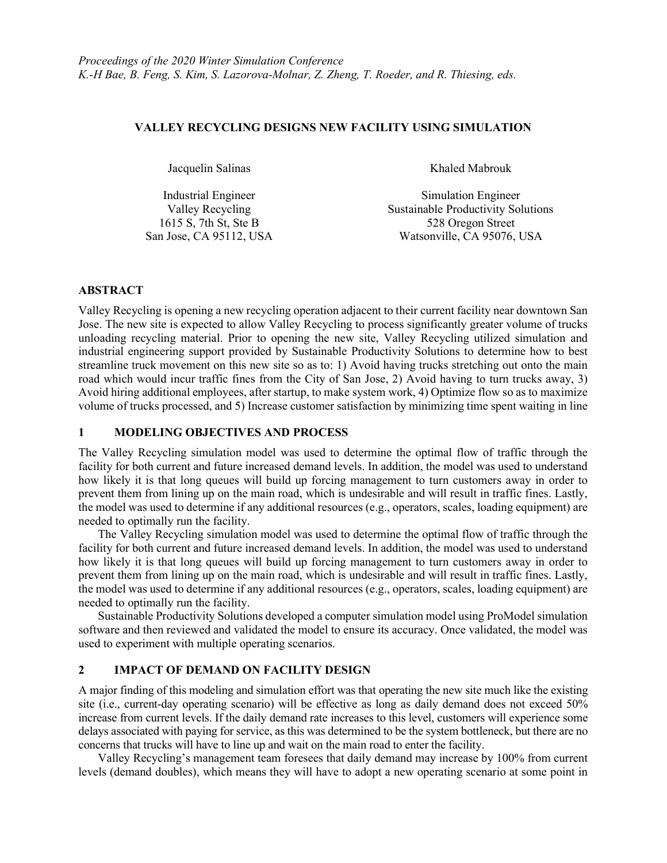### VALLEY RECYCLING DESIGNS NEW FACILITY USING SIMULATION

Jacquelin Salinas Khaled Mabrouk

Industrial Engineer Simulation Engineer Valley Recycling Sustainable Productivity Solutions 1615 S, 7th St, Ste B 528 Oregon Street San Jose, CA 95112, USA Watsonville, CA 95076, USA

# ABSTRACT

Valley Recycling is opening a new recycling operation adjacent to their current facility near downtown San Jose. The new site is expected to allow Valley Recycling to process significantly greater volume of trucks unloading recycling material. Prior to opening the new site, Valley Recycling utilized simulation and industrial engineering support provided by Sustainable Productivity Solutions to determine how to best streamline truck movement on this new site so as to: 1) Avoid having trucks stretching out onto the main road which would incur traffic fines from the City of San Jose, 2) Avoid having to turn trucks away, 3) Avoid hiring additional employees, after startup, to make system work, 4) Optimize flow so as to maximize volume of trucks processed, and 5) Increase customer satisfaction by minimizing time spent waiting in line

# 1 MODELING OBJECTIVES AND PROCESS

The Valley Recycling simulation model was used to determine the optimal flow of traffic through the facility for both current and future increased demand levels. In addition, the model was used to understand how likely it is that long queues will build up forcing management to turn customers away in order to prevent them from lining up on the main road, which is undesirable and will result in traffic fines. Lastly, the model was used to determine if any additional resources (e.g., operators, scales, loading equipment) are needed to optimally run the facility.

 The Valley Recycling simulation model was used to determine the optimal flow of traffic through the facility for both current and future increased demand levels. In addition, the model was used to understand how likely it is that long queues will build up forcing management to turn customers away in order to prevent them from lining up on the main road, which is undesirable and will result in traffic fines. Lastly, the model was used to determine if any additional resources (e.g., operators, scales, loading equipment) are needed to optimally run the facility.

Sustainable Productivity Solutions developed a computer simulation model using ProModel simulation software and then reviewed and validated the model to ensure its accuracy. Once validated, the model was used to experiment with multiple operating scenarios.

# 2 IMPACT OF DEMAND ON FACILITY DESIGN

A major finding of this modeling and simulation effort was that operating the new site much like the existing site (i.e., current-day operating scenario) will be effective as long as daily demand does not exceed 50% increase from current levels. If the daily demand rate increases to this level, customers will experience some delays associated with paying for service, as this was determined to be the system bottleneck, but there are no concerns that trucks will have to line up and wait on the main road to enter the facility.

Valley Recycling's management team foresees that daily demand may increase by 100% from current levels (demand doubles), which means they will have to adopt a new operating scenario at some point in